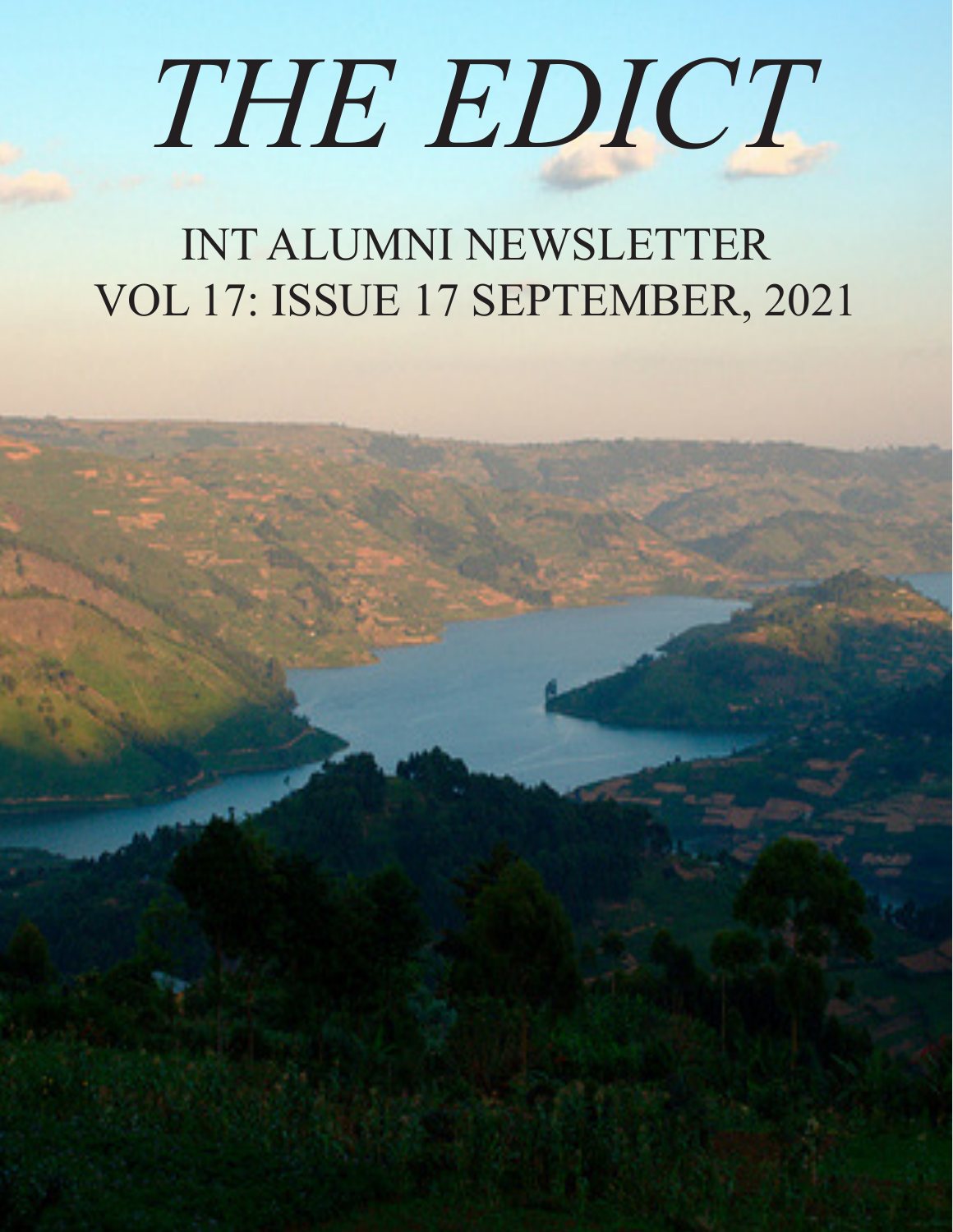## *THE EDICT*

#### INT ALUMNI NEWSLETTER VOL 17: ISSUE 17 SEPTEMBER, 2021

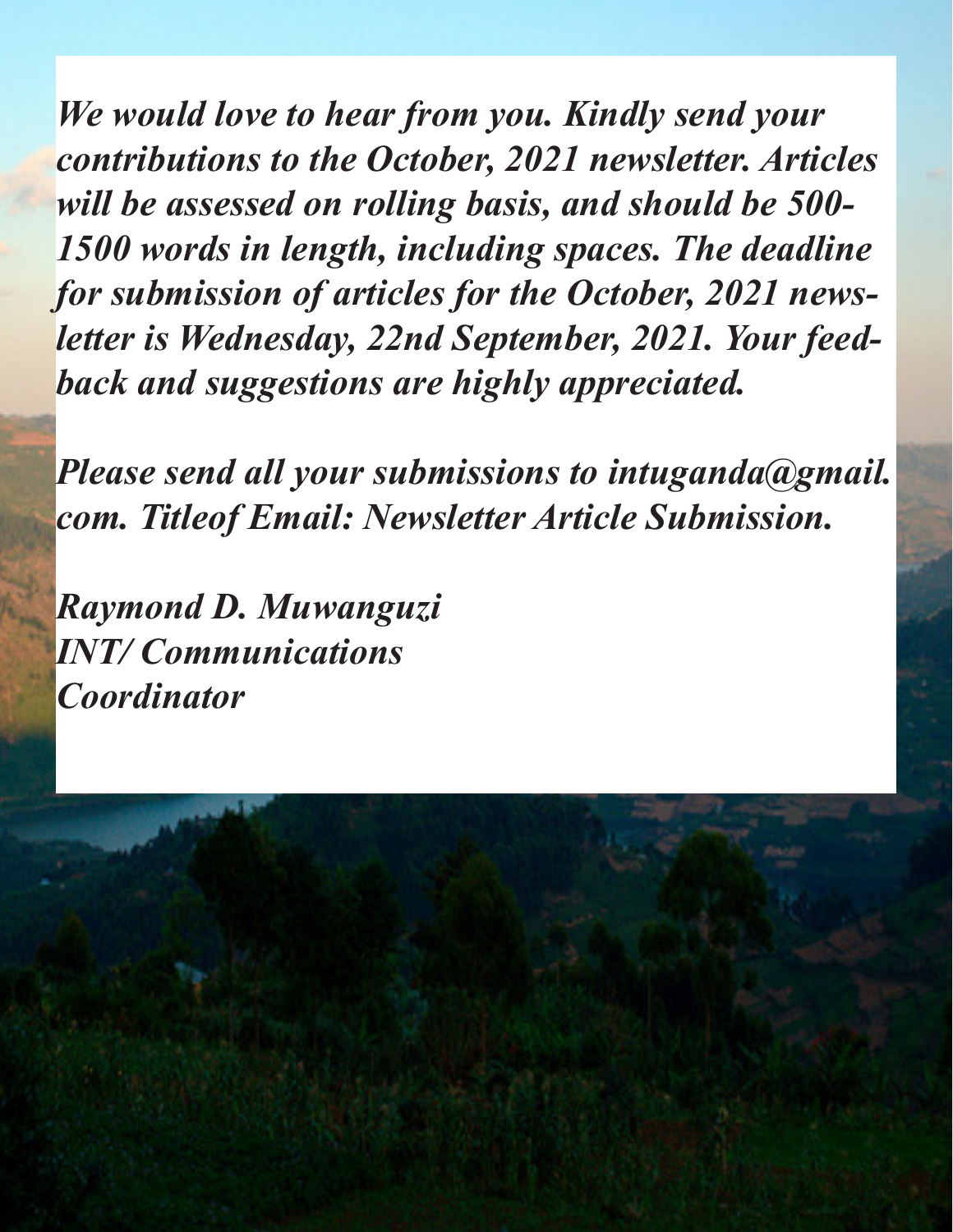*We would love to hear from you. Kindly send your contributions to the October, 2021 newsletter. Articles will be assessed on rolling basis, and should be 500- 1500 words in length, including spaces. The deadline for submission of articles for the October, 2021 newsletter is Wednesday, 22nd September, 2021. Your feedback and suggestions are highly appreciated.*

*Please send all your submissions to intuganda@gmail. com. Titleof Email: Newsletter Article Submission.*

*Raymond D. Muwanguzi INT/ Communications Coordinator*

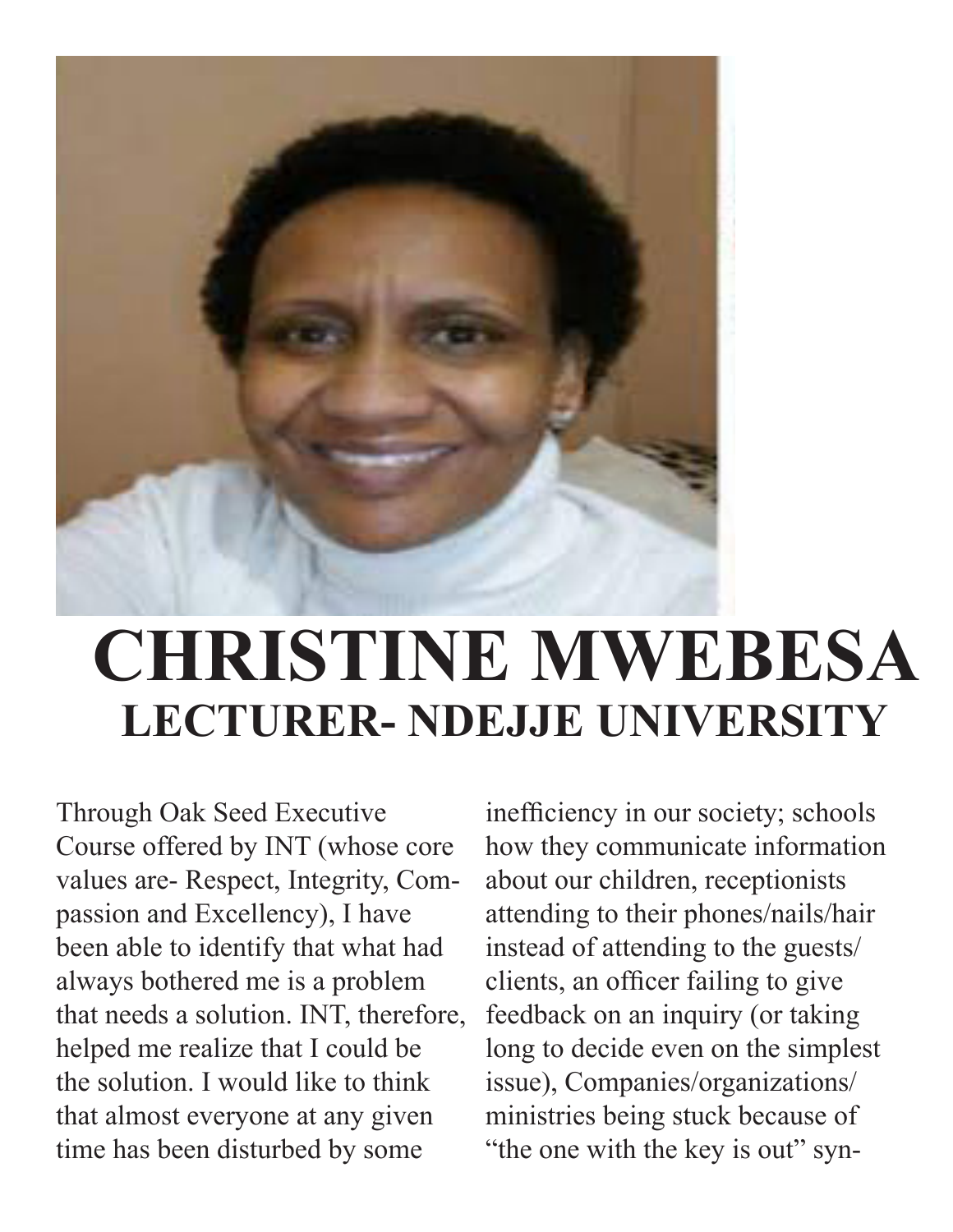

### **CHRISTINE MWEBESA LECTURER- NDEJJE UNIVERSITY**

Through Oak Seed Executive Course offered by INT (whose core values are- Respect, Integrity, Compassion and Excellency), I have been able to identify that what had always bothered me is a problem that needs a solution. INT, therefore, helped me realize that I could be the solution. I would like to think that almost everyone at any given time has been disturbed by some

inefficiency in our society; schools how they communicate information about our children, receptionists attending to their phones/nails/hair instead of attending to the guests/ clients, an officer failing to give feedback on an inquiry (or taking long to decide even on the simplest issue), Companies/organizations/ ministries being stuck because of "the one with the key is out" syn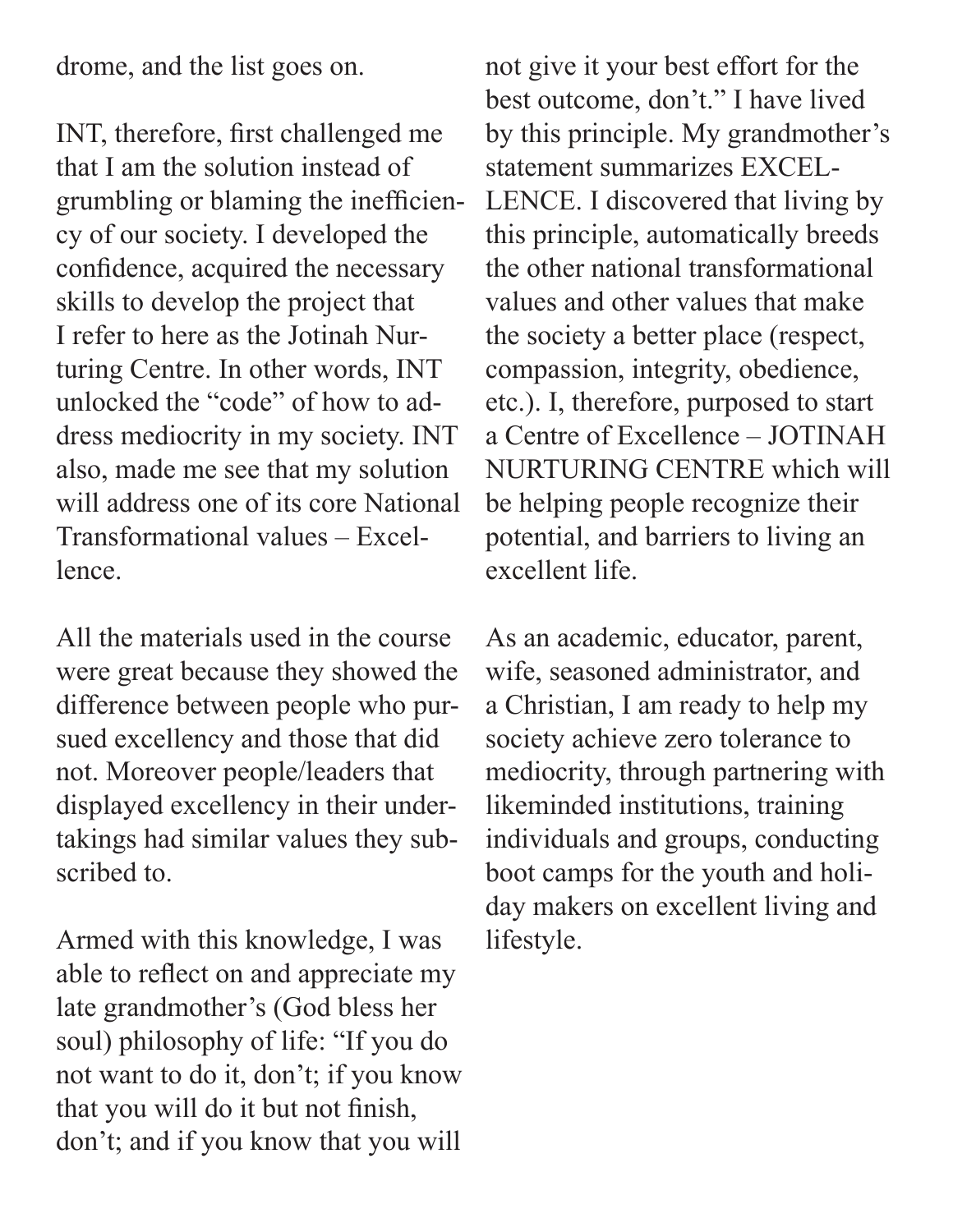drome, and the list goes on.

INT, therefore, first challenged me that I am the solution instead of grumbling or blaming the inefficiency of our society. I developed the confidence, acquired the necessary skills to develop the project that I refer to here as the Jotinah Nurturing Centre. In other words, INT unlocked the "code" of how to address mediocrity in my society. INT also, made me see that my solution will address one of its core National Transformational values – Excellence.

All the materials used in the course were great because they showed the difference between people who pursued excellency and those that did not. Moreover people/leaders that displayed excellency in their undertakings had similar values they subscribed to.

Armed with this knowledge, I was able to reflect on and appreciate my late grandmother's (God bless her soul) philosophy of life: "If you do not want to do it, don't; if you know that you will do it but not finish, don't; and if you know that you will

not give it your best effort for the best outcome, don't." I have lived by this principle. My grandmother's statement summarizes EXCEL-LENCE. I discovered that living by this principle, automatically breeds the other national transformational values and other values that make the society a better place (respect, compassion, integrity, obedience, etc.). I, therefore, purposed to start a Centre of Excellence – JOTINAH NURTURING CENTRE which will be helping people recognize their potential, and barriers to living an excellent life.

As an academic, educator, parent, wife, seasoned administrator, and a Christian, I am ready to help my society achieve zero tolerance to mediocrity, through partnering with likeminded institutions, training individuals and groups, conducting boot camps for the youth and holiday makers on excellent living and lifestyle.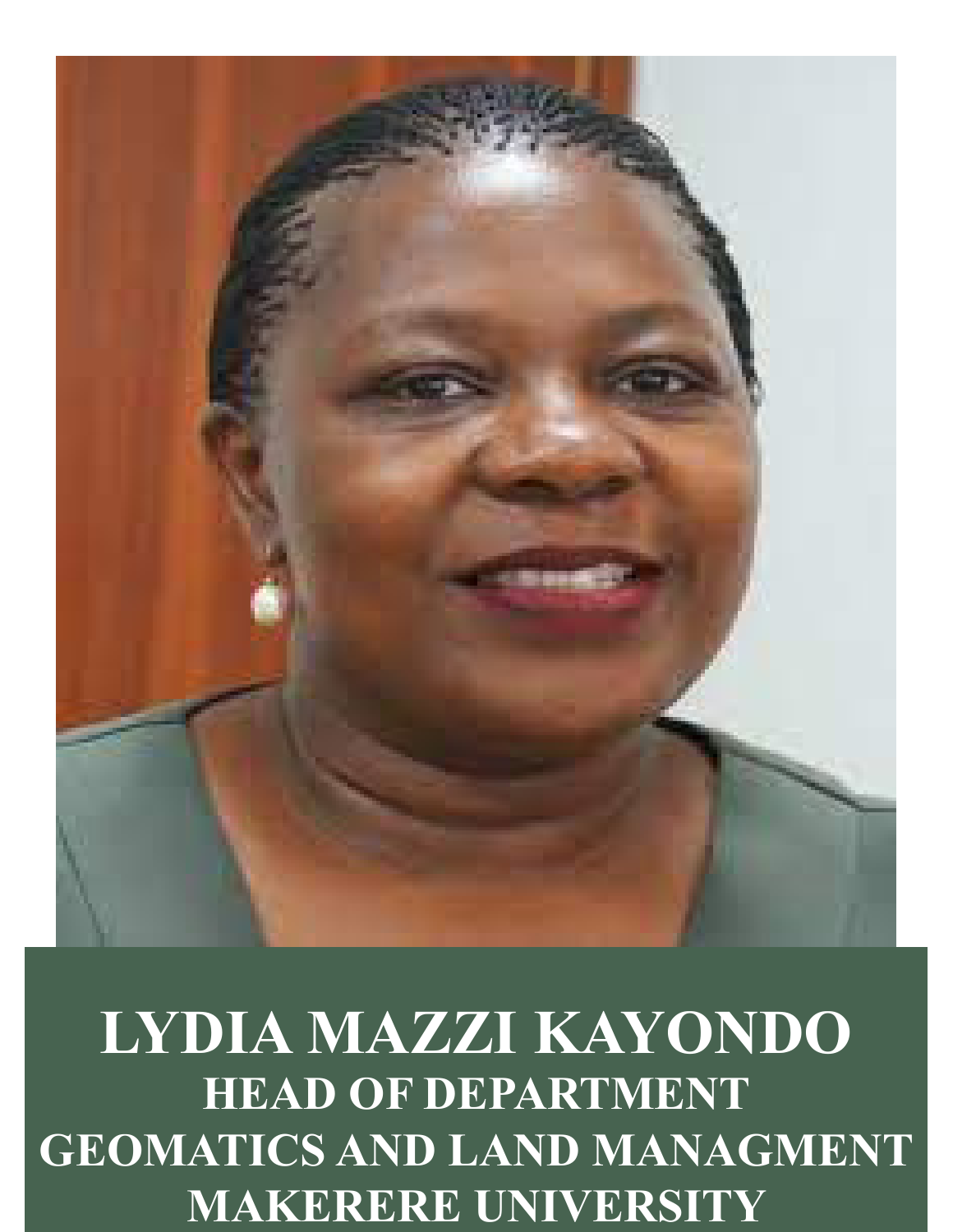

### **LYDIA MAZZI KAYONDO HEAD OF DEPARTMENT GEOMATICS AND LAND MANAGMENT MAKERERE UNIVERSITY**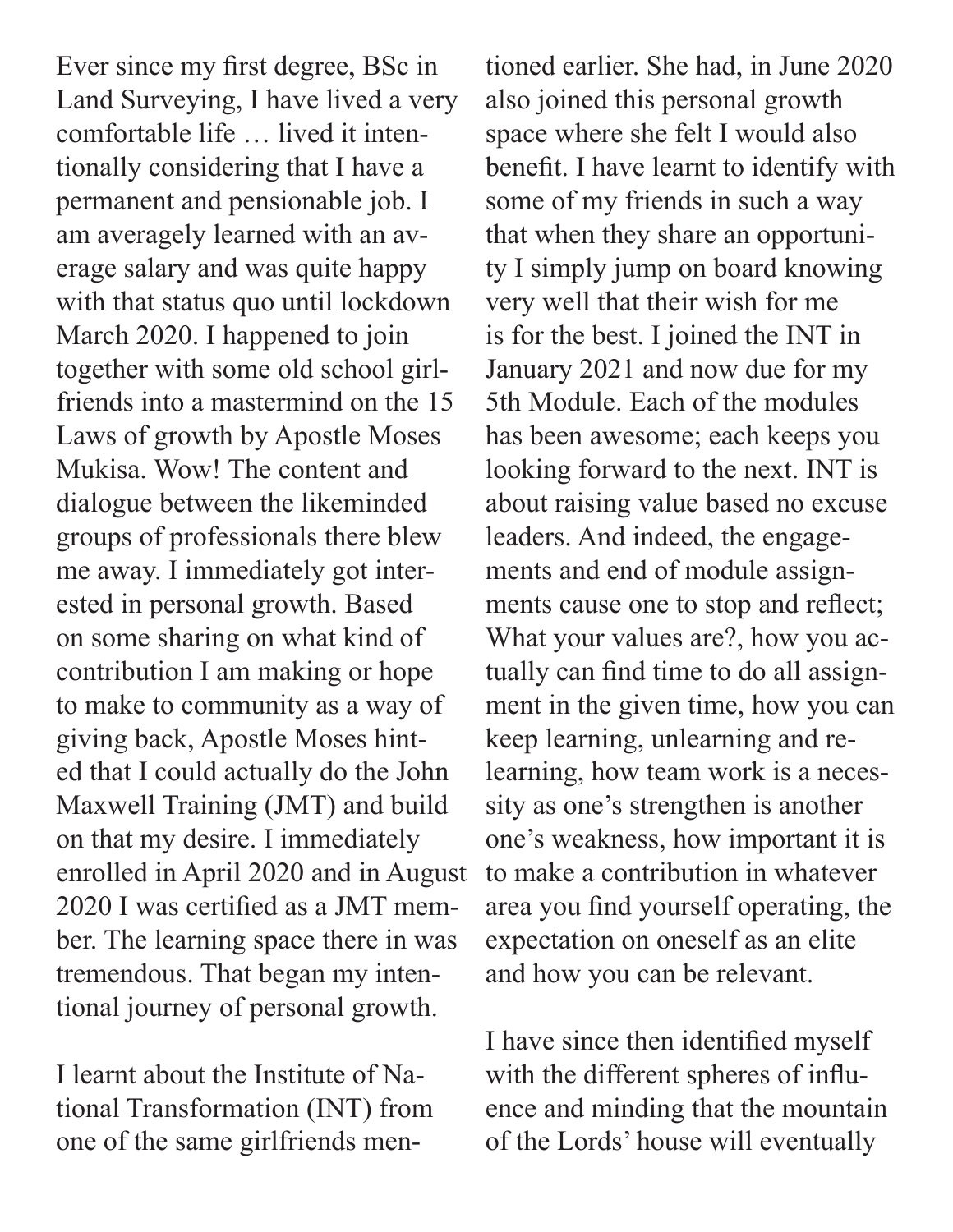Ever since my first degree, BSc in Land Surveying, I have lived a very comfortable life … lived it intentionally considering that I have a permanent and pensionable job. I am averagely learned with an average salary and was quite happy with that status quo until lockdown March 2020. I happened to join together with some old school girlfriends into a mastermind on the 15 Laws of growth by Apostle Moses Mukisa. Wow! The content and dialogue between the likeminded groups of professionals there blew me away. I immediately got interested in personal growth. Based on some sharing on what kind of contribution I am making or hope to make to community as a way of giving back, Apostle Moses hinted that I could actually do the John Maxwell Training (JMT) and build on that my desire. I immediately enrolled in April 2020 and in August 2020 I was certified as a JMT member. The learning space there in was tremendous. That began my intentional journey of personal growth.

I learnt about the Institute of National Transformation (INT) from one of the same girlfriends men-

tioned earlier. She had, in June 2020 also joined this personal growth space where she felt I would also benefit. I have learnt to identify with some of my friends in such a way that when they share an opportunity I simply jump on board knowing very well that their wish for me is for the best. I joined the INT in January 2021 and now due for my 5th Module. Each of the modules has been awesome; each keeps you looking forward to the next. INT is about raising value based no excuse leaders. And indeed, the engagements and end of module assignments cause one to stop and reflect; What your values are?, how you actually can find time to do all assignment in the given time, how you can keep learning, unlearning and relearning, how team work is a necessity as one's strengthen is another one's weakness, how important it is to make a contribution in whatever area you find yourself operating, the expectation on oneself as an elite and how you can be relevant.

I have since then identified myself with the different spheres of influence and minding that the mountain of the Lords' house will eventually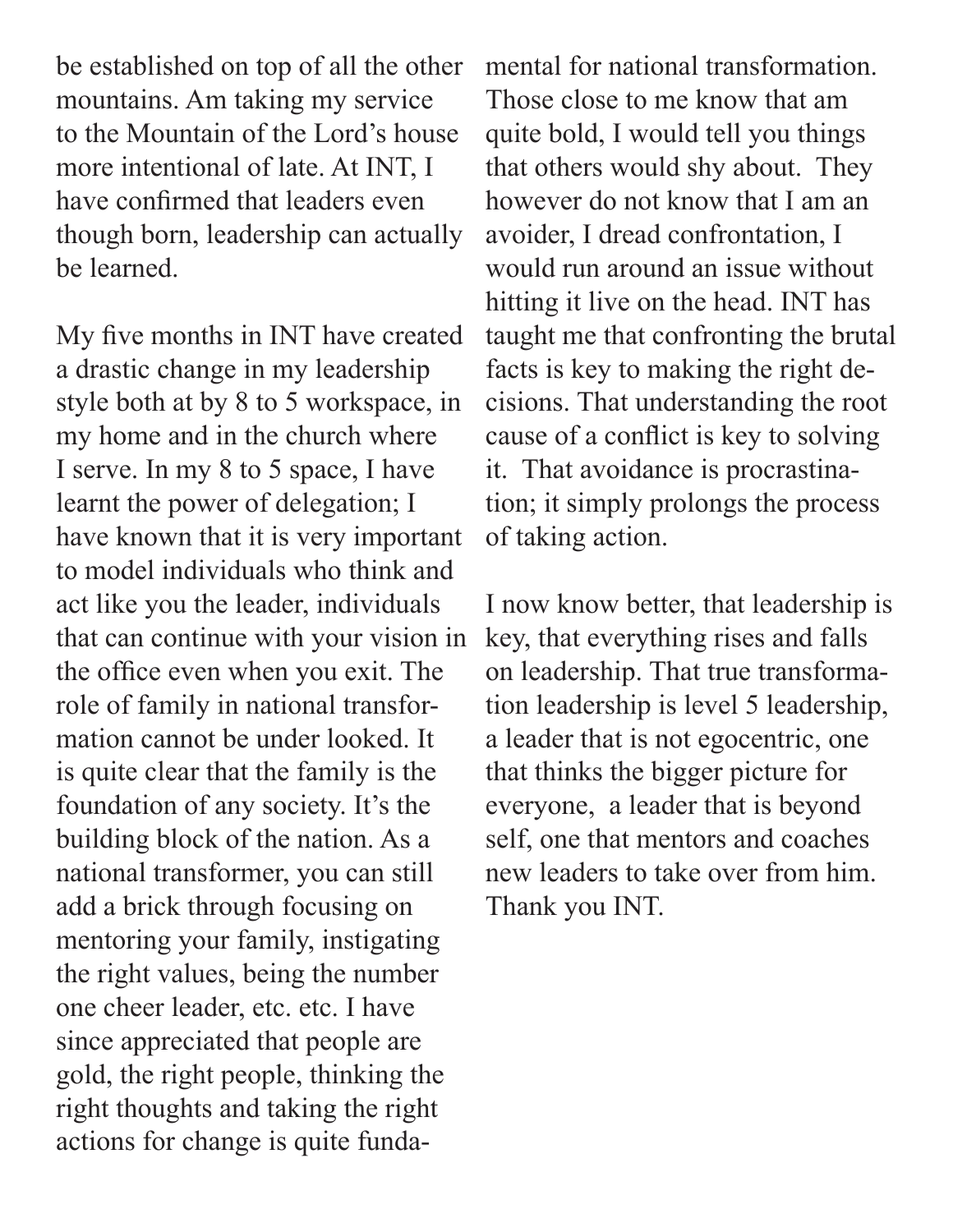be established on top of all the other mountains. Am taking my service to the Mountain of the Lord's house more intentional of late. At INT, I have confirmed that leaders even though born, leadership can actually be learned.

My five months in INT have created a drastic change in my leadership style both at by 8 to 5 workspace, in my home and in the church where I serve. In my 8 to 5 space, I have learnt the power of delegation; I have known that it is very important to model individuals who think and act like you the leader, individuals that can continue with your vision in the office even when you exit. The role of family in national transformation cannot be under looked. It is quite clear that the family is the foundation of any society. It's the building block of the nation. As a national transformer, you can still add a brick through focusing on mentoring your family, instigating the right values, being the number one cheer leader, etc. etc. I have since appreciated that people are gold, the right people, thinking the right thoughts and taking the right actions for change is quite fundamental for national transformation. Those close to me know that am quite bold, I would tell you things that others would shy about. They however do not know that I am an avoider, I dread confrontation, I would run around an issue without hitting it live on the head. INT has taught me that confronting the brutal facts is key to making the right decisions. That understanding the root cause of a conflict is key to solving it. That avoidance is procrastination; it simply prolongs the process of taking action.

I now know better, that leadership is key, that everything rises and falls on leadership. That true transformation leadership is level 5 leadership, a leader that is not egocentric, one that thinks the bigger picture for everyone, a leader that is beyond self, one that mentors and coaches new leaders to take over from him. Thank you INT.